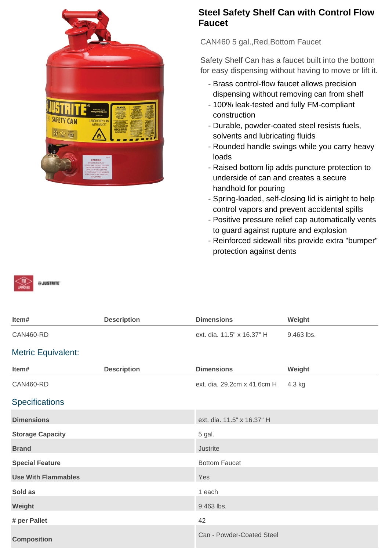

## **Steel Safety Shelf Can with Control Flow Faucet**

CAN460 5 gal.,Red,Bottom Faucet

Safety Shelf Can has a faucet built into the bottom for easy dispensing without having to move or lift it.

- Brass control-flow faucet allows precision dispensing without removing can from shelf
- 100% leak-tested and fully FM-compliant construction
- Durable, powder-coated steel resists fuels, solvents and lubricating fluids
- Rounded handle swings while you carry heavy loads
- Raised bottom lip adds puncture protection to underside of can and creates a secure handhold for pouring
- Spring-loaded, self-closing lid is airtight to help control vapors and prevent accidental spills
- Positive pressure relief cap automatically vents to guard against rupture and explosion
- Reinforced sidewall ribs provide extra "bumper" protection against dents



| Item#                      | <b>Description</b> | <b>Dimensions</b>           | Weight     |
|----------------------------|--------------------|-----------------------------|------------|
| <b>CAN460-RD</b>           |                    | ext. dia. 11.5" x 16.37" H  | 9.463 lbs. |
| <b>Metric Equivalent:</b>  |                    |                             |            |
| Item#                      | <b>Description</b> | <b>Dimensions</b>           | Weight     |
| <b>CAN460-RD</b>           |                    | ext. dia. 29.2cm x 41.6cm H | 4.3 kg     |
| <b>Specifications</b>      |                    |                             |            |
| <b>Dimensions</b>          |                    | ext. dia. 11.5" x 16.37" H  |            |
| <b>Storage Capacity</b>    |                    | 5 gal.                      |            |
| <b>Brand</b>               |                    | Justrite                    |            |
| <b>Special Feature</b>     |                    | <b>Bottom Faucet</b>        |            |
| <b>Use With Flammables</b> |                    | Yes                         |            |
| Sold as                    |                    | 1 each                      |            |
| Weight                     |                    | 9.463 lbs.                  |            |
| # per Pallet               |                    | 42                          |            |
| <b>Composition</b>         |                    | Can - Powder-Coated Steel   |            |